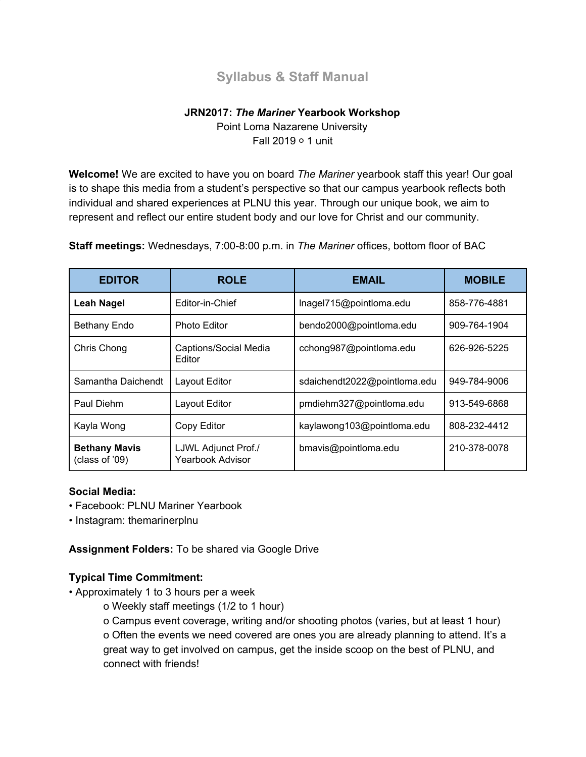# **Syllabus & Staff Manual**

## **JRN2017:** *The Mariner* **Yearbook Workshop**

Point Loma Nazarene University Fall 2019 ○ 1 unit

**Welcome!** We are excited to have you on board *The Mariner* yearbook staff this year! Our goal is to shape this media from a student's perspective so that our campus yearbook reflects both individual and shared experiences at PLNU this year. Through our unique book, we aim to represent and reflect our entire student body and our love for Christ and our community.

**Staff meetings:** Wednesdays, 7:00-8:00 p.m. in *The Mariner* offices, bottom floor of BAC

| <b>EDITOR</b>                          | <b>ROLE</b>                                    | <b>EMAIL</b>                 | <b>MOBILE</b> |
|----------------------------------------|------------------------------------------------|------------------------------|---------------|
| <b>Leah Nagel</b>                      | Editor-in-Chief                                | Inagel715@pointloma.edu      | 858-776-4881  |
| <b>Bethany Endo</b>                    | <b>Photo Editor</b>                            | bendo2000@pointloma.edu      | 909-764-1904  |
| Chris Chong                            | Captions/Social Media<br>Editor                | cchong987@pointloma.edu      | 626-926-5225  |
| Samantha Daichendt                     | Layout Editor                                  | sdaichendt2022@pointloma.edu | 949-784-9006  |
| Paul Diehm                             | Layout Editor                                  | pmdiehm327@pointloma.edu     | 913-549-6868  |
| Kayla Wong                             | Copy Editor                                    | kaylawong103@pointloma.edu   | 808-232-4412  |
| <b>Bethany Mavis</b><br>(class of '09) | LJWL Adjunct Prof./<br><b>Yearbook Advisor</b> | bmavis@pointloma.edu         | 210-378-0078  |

#### **Social Media:**

- Facebook: PLNU Mariner Yearbook
- Instagram: themarinerplnu

**Assignment Folders:** To be shared via Google Drive

## **Typical Time Commitment:**

- Approximately 1 to 3 hours per a week
	- o Weekly staff meetings (1/2 to 1 hour)

o Campus event coverage, writing and/or shooting photos (varies, but at least 1 hour) o Often the events we need covered are ones you are already planning to attend. It's a great way to get involved on campus, get the inside scoop on the best of PLNU, and connect with friends!